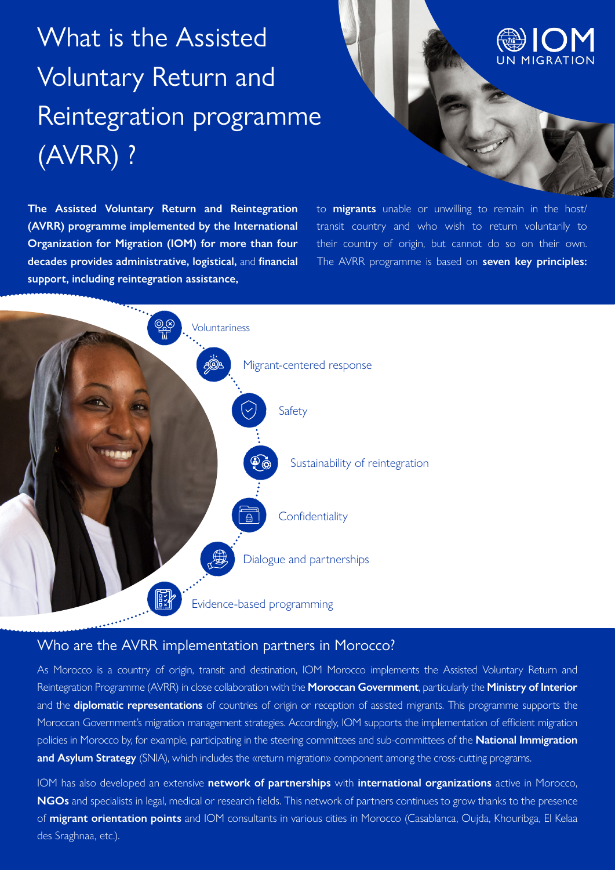# What is the Assisted Voluntary Return and Reintegration programme (AVRR) ?



**The Assisted Voluntary Return and Reintegration (AVRR) programme implemented by the International Organization for Migration (IOM) for more than four decades provides administrative, logistical,** and **financial support, including reintegration assistance,**

to **migrants** unable or unwilling to remain in the host/ transit country and who wish to return voluntarily to their country of origin, but cannot do so on their own. The AVRR programme is based on **seven key principles:**



#### Who are the AVRR implementation partners in Morocco?

As Morocco is a country of origin, transit and destination, IOM Morocco implements the Assisted Voluntary Return and Reintegration Programme (AVRR) in close collaboration with the **Moroccan Government**, particularly the **Ministry of Interior** and the **diplomatic representations** of countries of origin or reception of assisted migrants. This programme supports the Moroccan Government's migration management strategies. Accordingly, IOM supports the implementation of efficient migration policies in Morocco by, for example, participating in the steering committees and sub-committees of the **National Immigration and Asylum Strategy** (SNIA), which includes the «return migration» component among the cross-cutting programs.

IOM has also developed an extensive **network of partnerships** with **international organizations** active in Morocco, **NGOs** and specialists in legal, medical or research fields. This network of partners continues to grow thanks to the presence of **migrant orientation points** and IOM consultants in various cities in Morocco (Casablanca, Oujda, Khouribga, El Kelaa des Sraghnaa, etc.).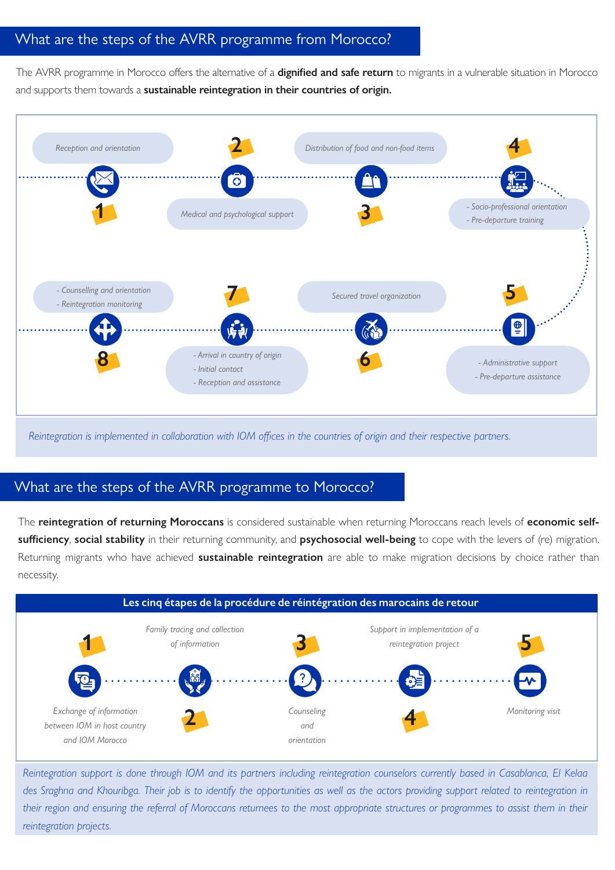## What are the steps of the AVRR programme from Morocco?

The AVRR programme in Morocco offers the alternative of a **dignified and safe return** to migrants in a vulnerable situation in Morocco and supports them towards a **sustainable reintegration in their countries of origin.**



*Reintegration is implemented in collaboration with IOM offices in the countries of origin and their respective partners.* 

### What are the steps of the AVRR programme to Morocco?

The **reintegration of returning Moroccans** is considered sustainable when returning Moroccans reach levels of **economic selfsufficiency**, **social stability** in their returning community, and **psychosocial well-being** to cope with the levers of (re) migration. Returning migrants who have achieved **sustainable reintegration** are able to make migration decisions by choice rather than necessity.



*Reintegration support is done through IOM and its partners including reintegration counselors currently based in Casablanca, El Kelaa des Sraghna and Khouribga. Their job is to identify the opportunities as well as the actors providing support related to reintegration in their region and ensuring the referral of Moroccans returnees to the most appropriate structures or programmes to assist them in their reintegration projects.*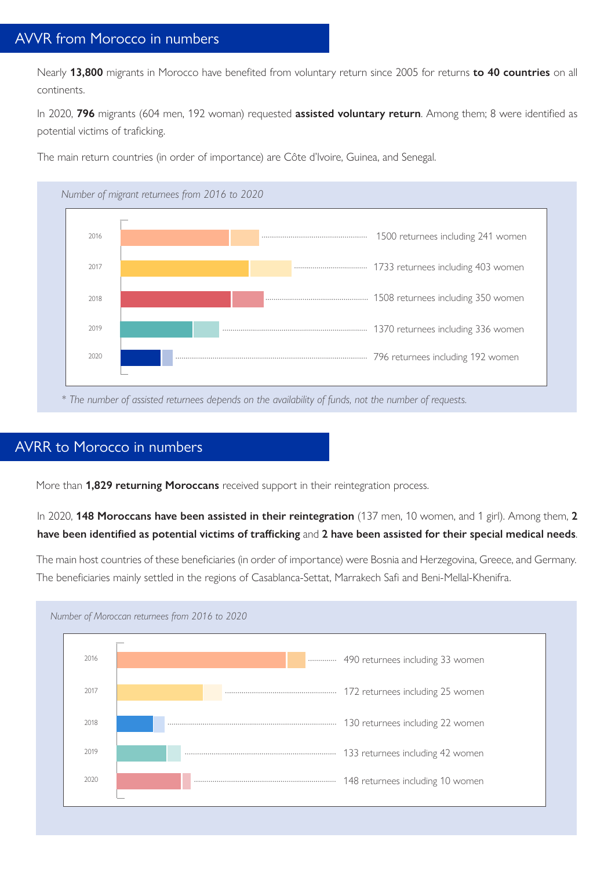Nearly **13,800** migrants in Morocco have benefited from voluntary return since 2005 for returns **to 40 countries** on all continents.

In 2020, **796** migrants (604 men, 192 woman) requested **assisted voluntary return**. Among them; 8 were identified as potential victims of traficking.

The main return countries (in order of importance) are Côte d'Ivoire, Guinea, and Senegal.



*\* The number of assisted returnees depends on the availability of funds, not the number of requests.*

### AVRR to Morocco in numbers

More than **1,829 returning Moroccans** received support in their reintegration process.

#### In 2020, **148 Moroccans have been assisted in their reintegration** (137 men, 10 women, and 1 girl). Among them, **2 have been identified as potential victims of trafficking** and **2 have been assisted for their special medical needs**.

The main host countries of these beneficiaries (in order of importance) were Bosnia and Herzegovina, Greece, and Germany. The beneficiaries mainly settled in the regions of Casablanca-Settat, Marrakech Safi and Beni-Mellal-Khenifra.